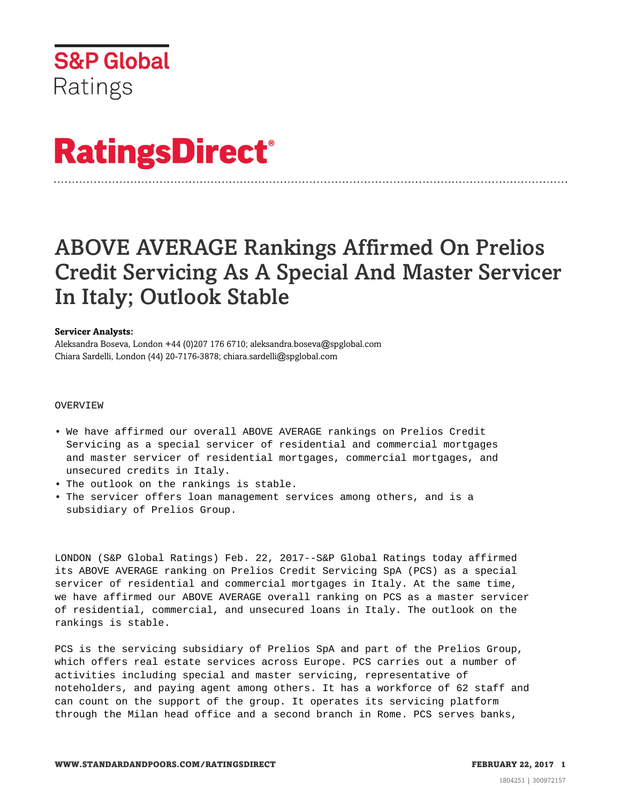

# **RatingsDirect®**

# ABOVE AVERAGE Rankings Affirmed On Prelios Credit Servicing As A Special And Master Servicer In Italy; Outlook Stable

# **Servicer Analysts:**

Aleksandra Boseva, London +44 (0)207 176 6710; aleksandra.boseva@spglobal.com Chiara Sardelli, London (44) 20-7176-3878; chiara.sardelli@spglobal.com

#### OVERVIEW

- We have affirmed our overall ABOVE AVERAGE rankings on Prelios Credit Servicing as a special servicer of residential and commercial mortgages and master servicer of residential mortgages, commercial mortgages, and unsecured credits in Italy.
- The outlook on the rankings is stable.
- The servicer offers loan management services among others, and is a subsidiary of Prelios Group.

LONDON (S&P Global Ratings) Feb. 22, 2017--S&P Global Ratings today affirmed its ABOVE AVERAGE ranking on Prelios Credit Servicing SpA (PCS) as a special servicer of residential and commercial mortgages in Italy. At the same time, we have affirmed our ABOVE AVERAGE overall ranking on PCS as a master servicer of residential, commercial, and unsecured loans in Italy. The outlook on the rankings is stable.

PCS is the servicing subsidiary of Prelios SpA and part of the Prelios Group, which offers real estate services across Europe. PCS carries out a number of activities including special and master servicing, representative of noteholders, and paying agent among others. It has a workforce of 62 staff and can count on the support of the group. It operates its servicing platform through the Milan head office and a second branch in Rome. PCS serves banks,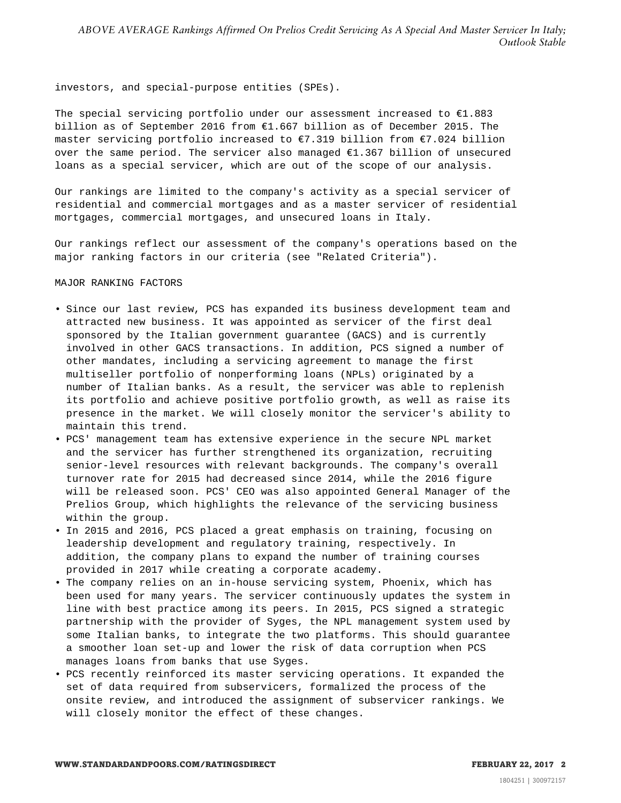investors, and special-purpose entities (SPEs).

The special servicing portfolio under our assessment increased to  $E1.883$ billion as of September 2016 from €1.667 billion as of December 2015. The master servicing portfolio increased to €7.319 billion from €7.024 billion over the same period. The servicer also managed €1.367 billion of unsecured loans as a special servicer, which are out of the scope of our analysis.

Our rankings are limited to the company's activity as a special servicer of residential and commercial mortgages and as a master servicer of residential mortgages, commercial mortgages, and unsecured loans in Italy.

Our rankings reflect our assessment of the company's operations based on the major ranking factors in our criteria (see "Related Criteria").

#### MAJOR RANKING FACTORS

- Since our last review, PCS has expanded its business development team and attracted new business. It was appointed as servicer of the first deal sponsored by the Italian government guarantee (GACS) and is currently involved in other GACS transactions. In addition, PCS signed a number of other mandates, including a servicing agreement to manage the first multiseller portfolio of nonperforming loans (NPLs) originated by a number of Italian banks. As a result, the servicer was able to replenish its portfolio and achieve positive portfolio growth, as well as raise its presence in the market. We will closely monitor the servicer's ability to maintain this trend.
- PCS' management team has extensive experience in the secure NPL market and the servicer has further strengthened its organization, recruiting senior-level resources with relevant backgrounds. The company's overall turnover rate for 2015 had decreased since 2014, while the 2016 figure will be released soon. PCS' CEO was also appointed General Manager of the Prelios Group, which highlights the relevance of the servicing business within the group.
- In 2015 and 2016, PCS placed a great emphasis on training, focusing on leadership development and regulatory training, respectively. In addition, the company plans to expand the number of training courses provided in 2017 while creating a corporate academy.
- The company relies on an in-house servicing system, Phoenix, which has been used for many years. The servicer continuously updates the system in line with best practice among its peers. In 2015, PCS signed a strategic partnership with the provider of Syges, the NPL management system used by some Italian banks, to integrate the two platforms. This should guarantee a smoother loan set-up and lower the risk of data corruption when PCS manages loans from banks that use Syges.
- PCS recently reinforced its master servicing operations. It expanded the set of data required from subservicers, formalized the process of the onsite review, and introduced the assignment of subservicer rankings. We will closely monitor the effect of these changes.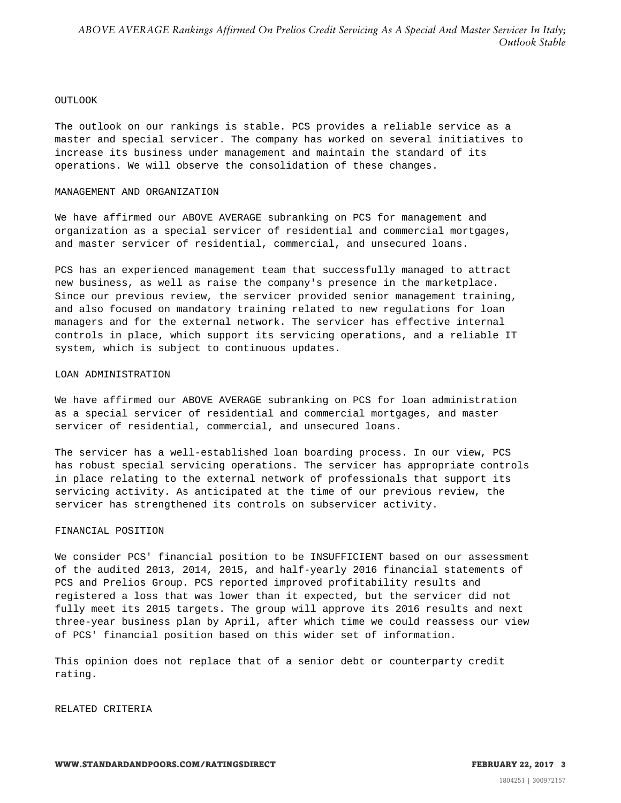#### **OUTLOOK**

The outlook on our rankings is stable. PCS provides a reliable service as a master and special servicer. The company has worked on several initiatives to increase its business under management and maintain the standard of its operations. We will observe the consolidation of these changes.

# MANAGEMENT AND ORGANIZATION

We have affirmed our ABOVE AVERAGE subranking on PCS for management and organization as a special servicer of residential and commercial mortgages, and master servicer of residential, commercial, and unsecured loans.

PCS has an experienced management team that successfully managed to attract new business, as well as raise the company's presence in the marketplace. Since our previous review, the servicer provided senior management training, and also focused on mandatory training related to new regulations for loan managers and for the external network. The servicer has effective internal controls in place, which support its servicing operations, and a reliable IT system, which is subject to continuous updates.

#### LOAN ADMINISTRATION

We have affirmed our ABOVE AVERAGE subranking on PCS for loan administration as a special servicer of residential and commercial mortgages, and master servicer of residential, commercial, and unsecured loans.

The servicer has a well-established loan boarding process. In our view, PCS has robust special servicing operations. The servicer has appropriate controls in place relating to the external network of professionals that support its servicing activity. As anticipated at the time of our previous review, the servicer has strengthened its controls on subservicer activity.

# FINANCIAL POSITION

We consider PCS' financial position to be INSUFFICIENT based on our assessment of the audited 2013, 2014, 2015, and half-yearly 2016 financial statements of PCS and Prelios Group. PCS reported improved profitability results and registered a loss that was lower than it expected, but the servicer did not fully meet its 2015 targets. The group will approve its 2016 results and next three-year business plan by April, after which time we could reassess our view of PCS' financial position based on this wider set of information.

This opinion does not replace that of a senior debt or counterparty credit rating.

RELATED CRITERIA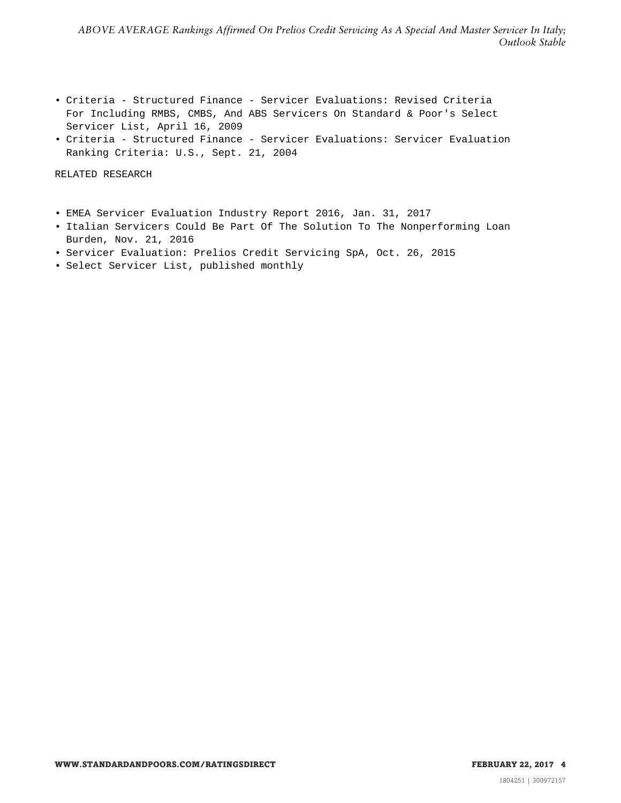- Criteria Structured Finance Servicer Evaluations: Revised Criteria For Including RMBS, CMBS, And ABS Servicers On Standard & Poor's Select Servicer List, April 16, 2009
- Criteria Structured Finance Servicer Evaluations: Servicer Evaluation Ranking Criteria: U.S., Sept. 21, 2004

RELATED RESEARCH

- EMEA Servicer Evaluation Industry Report 2016, Jan. 31, 2017
- Italian Servicers Could Be Part Of The Solution To The Nonperforming Loan Burden, Nov. 21, 2016
- Servicer Evaluation: Prelios Credit Servicing SpA, Oct. 26, 2015
- Select Servicer List, published monthly